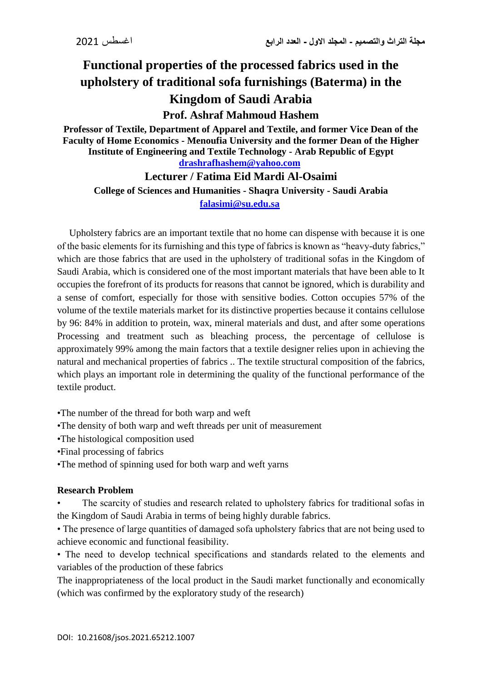# **Functional properties of the processed fabrics used in the upholstery of traditional sofa furnishings (Baterma) in the Kingdom of Saudi Arabia**

## **Prof. Ashraf Mahmoud Hashem**

**Professor of Textile, Department of Apparel and Textile, and former Vice Dean of the Faculty of Home Economics - Menoufia University and the former Dean of the Higher Institute of Engineering and Textile Technology - Arab Republic of Egypt [drashrafhashem@yahoo.com](mailto:drashrafhashem@yahoo.com)**

### **Lecturer / Fatima Eid Mardi Al-Osaimi College of Sciences and Humanities - Shaqra University - Saudi Arabia [falasimi@su.edu.sa](mailto:falasimi@su.edu.sa)**

 Upholstery fabrics are an important textile that no home can dispense with because it is one of the basic elements for its furnishing and this type of fabrics is known as "heavy-duty fabrics," which are those fabrics that are used in the upholstery of traditional sofas in the Kingdom of Saudi Arabia, which is considered one of the most important materials that have been able to It occupies the forefront of its products for reasons that cannot be ignored, which is durability and a sense of comfort, especially for those with sensitive bodies. Cotton occupies 57% of the volume of the textile materials market for its distinctive properties because it contains cellulose by 96: 84% in addition to protein, wax, mineral materials and dust, and after some operations Processing and treatment such as bleaching process, the percentage of cellulose is approximately 99% among the main factors that a textile designer relies upon in achieving the natural and mechanical properties of fabrics .. The textile structural composition of the fabrics, which plays an important role in determining the quality of the functional performance of the textile product.

•The number of the thread for both warp and weft

- •The density of both warp and weft threads per unit of measurement
- •The histological composition used
- •Final processing of fabrics
- •The method of spinning used for both warp and weft yarns

#### **Research Problem**

• The scarcity of studies and research related to upholstery fabrics for traditional sofas in the Kingdom of Saudi Arabia in terms of being highly durable fabrics.

• The presence of large quantities of damaged sofa upholstery fabrics that are not being used to achieve economic and functional feasibility.

• The need to develop technical specifications and standards related to the elements and variables of the production of these fabrics

The inappropriateness of the local product in the Saudi market functionally and economically (which was confirmed by the exploratory study of the research)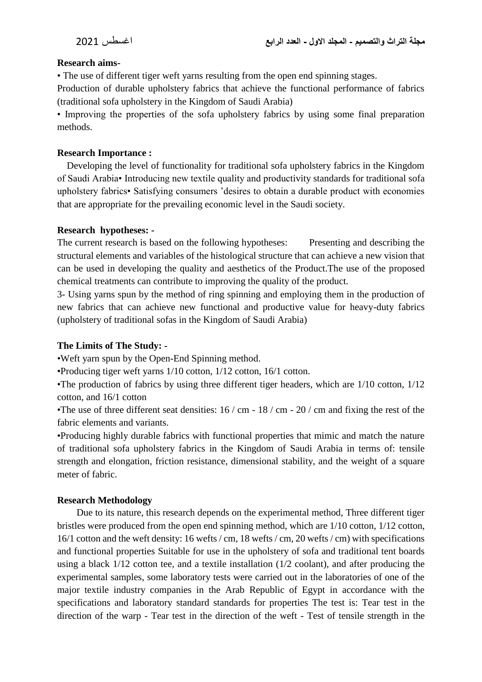#### **Research aims-**

• The use of different tiger weft yarns resulting from the open end spinning stages.

Production of durable upholstery fabrics that achieve the functional performance of fabrics (traditional sofa upholstery in the Kingdom of Saudi Arabia)

• Improving the properties of the sofa upholstery fabrics by using some final preparation methods.

#### **Research Importance :**

 Developing the level of functionality for traditional sofa upholstery fabrics in the Kingdom of Saudi Arabia• Introducing new textile quality and productivity standards for traditional sofa upholstery fabrics• Satisfying consumers 'desires to obtain a durable product with economies that are appropriate for the prevailing economic level in the Saudi society.

#### **Research hypotheses: -**

The current research is based on the following hypotheses: Presenting and describing the structural elements and variables of the histological structure that can achieve a new vision that can be used in developing the quality and aesthetics of the Product.The use of the proposed chemical treatments can contribute to improving the quality of the product.

3- Using yarns spun by the method of ring spinning and employing them in the production of new fabrics that can achieve new functional and productive value for heavy-duty fabrics (upholstery of traditional sofas in the Kingdom of Saudi Arabia)

#### **The Limits of The Study: -**

•Weft yarn spun by the Open-End Spinning method.

•Producing tiger weft yarns 1/10 cotton, 1/12 cotton, 16/1 cotton.

•The production of fabrics by using three different tiger headers, which are 1/10 cotton, 1/12 cotton, and 16/1 cotton

•The use of three different seat densities:  $16 / \text{cm} - 18 / \text{cm} - 20 / \text{cm}$  and fixing the rest of the fabric elements and variants.

•Producing highly durable fabrics with functional properties that mimic and match the nature of traditional sofa upholstery fabrics in the Kingdom of Saudi Arabia in terms of: tensile strength and elongation, friction resistance, dimensional stability, and the weight of a square meter of fabric.

#### **Research Methodology**

 Due to its nature, this research depends on the experimental method, Three different tiger bristles were produced from the open end spinning method, which are 1/10 cotton, 1/12 cotton, 16/1 cotton and the weft density: 16 wefts / cm, 18 wefts / cm, 20 wefts / cm) with specifications and functional properties Suitable for use in the upholstery of sofa and traditional tent boards using a black 1/12 cotton tee, and a textile installation (1/2 coolant), and after producing the experimental samples, some laboratory tests were carried out in the laboratories of one of the major textile industry companies in the Arab Republic of Egypt in accordance with the specifications and laboratory standard standards for properties The test is: Tear test in the direction of the warp - Tear test in the direction of the weft - Test of tensile strength in the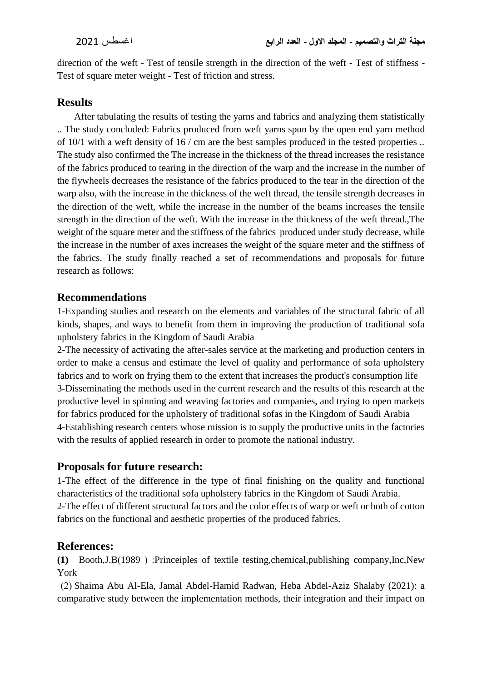direction of the weft - Test of tensile strength in the direction of the weft - Test of stiffness - Test of square meter weight - Test of friction and stress.

## **Results**

 After tabulating the results of testing the yarns and fabrics and analyzing them statistically .. The study concluded: Fabrics produced from weft yarns spun by the open end yarn method of 10/1 with a weft density of 16 / cm are the best samples produced in the tested properties .. The study also confirmed the The increase in the thickness of the thread increases the resistance of the fabrics produced to tearing in the direction of the warp and the increase in the number of the flywheels decreases the resistance of the fabrics produced to the tear in the direction of the warp also, with the increase in the thickness of the weft thread, the tensile strength decreases in the direction of the weft, while the increase in the number of the beams increases the tensile strength in the direction of the weft. With the increase in the thickness of the weft thread.,The weight of the square meter and the stiffness of the fabrics produced under study decrease, while the increase in the number of axes increases the weight of the square meter and the stiffness of the fabrics. The study finally reached a set of recommendations and proposals for future research as follows:

## **Recommendations**

1-Expanding studies and research on the elements and variables of the structural fabric of all kinds, shapes, and ways to benefit from them in improving the production of traditional sofa upholstery fabrics in the Kingdom of Saudi Arabia

2-The necessity of activating the after-sales service at the marketing and production centers in order to make a census and estimate the level of quality and performance of sofa upholstery fabrics and to work on frying them to the extent that increases the product's consumption life 3-Disseminating the methods used in the current research and the results of this research at the productive level in spinning and weaving factories and companies, and trying to open markets for fabrics produced for the upholstery of traditional sofas in the Kingdom of Saudi Arabia 4-Establishing research centers whose mission is to supply the productive units in the factories with the results of applied research in order to promote the national industry.

## **Proposals for future research:**

1-The effect of the difference in the type of final finishing on the quality and functional characteristics of the traditional sofa upholstery fabrics in the Kingdom of Saudi Arabia. 2-The effect of different structural factors and the color effects of warp or weft or both of cotton fabrics on the functional and aesthetic properties of the produced fabrics.

## **References:**

**(1)** Booth,J.B)1989 ( :Princeiples of textile testing,chemical,publishing company,Inc,New York

 )2( Shaima Abu Al-Ela, Jamal Abdel-Hamid Radwan, Heba Abdel-Aziz Shalaby (2021): a comparative study between the implementation methods, their integration and their impact on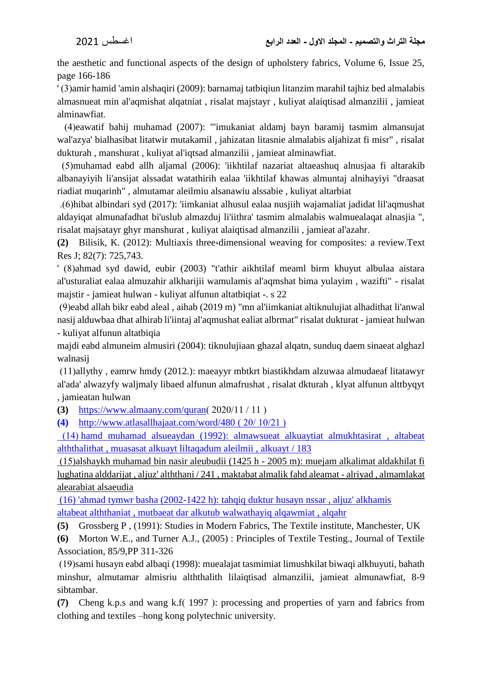the aesthetic and functional aspects of the design of upholstery fabrics, Volume 6, Issue 25, page 166-186

' )3(amir hamid 'amin alshaqiri (2009): barnamaj tatbiqiun litanzim marahil tajhiz bed almalabis almasnueat min al'aqmishat alqatniat , risalat majstayr , kuliyat alaiqtisad almanzilii , jamieat alminawfiat.

 )4(eawatif bahij muhamad (2007): "'imukaniat aldamj bayn baramij tasmim almansujat wal'azya' bialhasibat litatwir mutakamil , jahizatan litasnie almalabis aljahizat fi misr" , risalat dukturah , manshurat , kuliyat al'iqtsad almanzilii , jamieat alminawfiat.

 )5(muhamad eabd allh aljamal (2006): 'iikhtilaf nazariat altaeashuq alnusjaa fi altarakib albanayiyih li'ansijat alssadat watathirih ealaa 'iikhtilaf khawas almuntaj alnihayiyi "draasat riadiat muqarinh" , almutamar aleilmiu alsanawiu alssabie , kuliyat altarbiat

 .)6(hibat albindari syd (2017): 'iimkaniat alhusul ealaa nusjiih wajamaliat jadidat lil'aqmushat aldayiqat almunafadhat bi'uslub almazduj li'iithra' tasmim almalabis walmuealaqat alnasjia ", risalat majsatayr ghyr manshurat , kuliyat alaiqtisad almanzilii , jamieat al'azahr.

**(2)** Bilisik, K. (2012): Multiaxis three،dimensional weaving for composites: a review.Text Res J; 82(7): 725,743.

' (8)ahmad syd dawid, eubir (2003) "t'athir aikhtilaf meaml birm khuyut albulaa aistara al'usturaliat ealaa almuzahir alkharijii wamulamis al'aqmshat bima yulayim , wazifti" - risalat majstir - jamieat hulwan - kuliyat alfunun altatbiqiat -. s 22

 )9(eabd allah bikr eabd aleal , aihab (2019 m) "mn al'iimkaniat altiknulujiat alhadithat li'anwal nasij alduwbaa dhat alhirab li'iintaj al'aqmushat ealiat albrmat" risalat dukturat - jamieat hulwan - kuliyat alfunun altatbiqia

majdi eabd almuneim almusiri (2004): tiknulujiaan ghazal alqatn, sunduq daem sinaeat alghazl walnasij

 $(11)$ allythy, eamrw hmdy (2012.): maeayyr mbtkrt biastikhdam alzuwaa almudaeaf litatawyr al'ada' alwazyfy waljmaly libaed alfunun almafrushat , risalat dkturah , klyat alfunun alttbyqyt , jamieatan hulwan

**(3)** https://www.almaany.com/quran( 2020/11 / 11 )

**(4)** <http://www.atlasallhajaat.com/word/480>( $20/10/21$ )

 )14( hamd muhamad alsueaydan (1992): almawsueat alkuaytiat almukhtasirat , altabeat alththalithat , muasasat alkuayt liltaqadum aleilmii , alkuayt / 183

 $(15)$ alshaykh muhamad bin nasir aleubudii (1425 h - 2005 m): muejam alkalimat aldakhilat fi lughatina alddarijat , aljuz' alththani / 241 , maktabat almalik fahd aleamat - alriyad , almamlakat alearabiat alsaeudia

(16) 'ahmad tymwr basha (2002-1422 h): tahqiq duktur husayn nssar , aljuz' alkhamis altabeat alththaniat , mutbaeat dar alkutub walwathayiq alqawmiat , alqahr

**(5)** Grossberg P , (1991): Studies in Modern Fabrics, The Textile institute, Manchester, UK

**(6)** Morton W.E., and Turner A.J., (2005) : Principles of Textile Testing., Journal of Textile Association, 85/9,PP 311-326

 )19(sami husayn eabd albaqi (1998): muealajat tasmimiat limushkilat biwaqi alkhuyuti, bahath minshur, almutamar almisriu alththalith lilaiqtisad almanzilii, jamieat almunawfiat, 8-9 sibtambar.

**(7)** Cheng k.p.s and wang k.f) 1997 (: processing and properties of yarn and fabrics from clothing and textiles –hong kong polytechnic university.